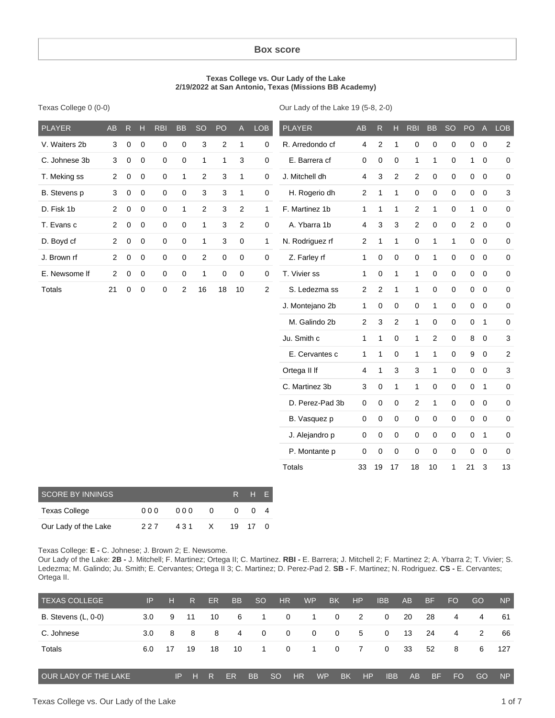#### **Box score**

#### **Texas College vs. Our Lady of the Lake 2/19/2022 at San Antonio, Texas (Missions BB Academy)**

Texas College 0 (0-0)

Our Lady of the Lake 19 (5-8, 2-0)

| <b>PLAYER</b> | <b>AB</b>      | $\mathsf{R}$ | Н           | <b>RBI</b>  | <b>BB</b>    | <b>SO</b>    | PO             | $\mathsf{A}$   | <b>LOB</b>       | <b>PLAYER</b>   | AB             | R                | н                   | <b>RBI</b>   | <b>BB</b>      | <b>SO</b>    | $PO$ A         |                | <b>LOB</b>     |
|---------------|----------------|--------------|-------------|-------------|--------------|--------------|----------------|----------------|------------------|-----------------|----------------|------------------|---------------------|--------------|----------------|--------------|----------------|----------------|----------------|
| V. Waiters 2b | 3              | $\mathbf 0$  | $\mathbf 0$ | 0           | $\mathbf 0$  | 3            | $\overline{c}$ | $\mathbf{1}$   | 0                | R. Arredondo cf | 4              | $\overline{c}$   | $\mathbf{1}$        | $\mathbf 0$  | $\mathbf 0$    | 0            |                | $0\quad 0$     | $\overline{2}$ |
| C. Johnese 3b | 3              | 0            | $\mathbf 0$ | 0           | $\mathbf 0$  | $\mathbf{1}$ | $\mathbf{1}$   | 3              | 0                | E. Barrera cf   | 0              | $\mathbf 0$      | $\pmb{0}$           | $\mathbf{1}$ | $\mathbf{1}$   | $\mathbf 0$  | 1              | $\mathbf 0$    | 0              |
| T. Meking ss  | $\overline{2}$ | 0            | $\mathbf 0$ | $\mathbf 0$ | $\mathbf{1}$ | 2            | 3              | $\mathbf{1}$   | $\mathbf 0$      | J. Mitchell dh  | 4              | 3                | 2                   | 2            | $\mathbf 0$    | $\mathbf 0$  |                | $0\quad 0$     | $\mathbf 0$    |
| B. Stevens p  | 3              | $\mathbf 0$  | $\mathbf 0$ | $\mathbf 0$ | $\mathbf 0$  | 3            | 3              | $\mathbf{1}$   | $\mathbf 0$      | H. Rogerio dh   | $\mathbf{2}$   | $\mathbf{1}$     | $\mathbf{1}$        | $\mathbf 0$  | $\pmb{0}$      | $\mathbf 0$  |                | $0\quad 0$     | 3              |
| D. Fisk 1b    | $\overline{2}$ | 0            | $\mathbf 0$ | $\mathbf 0$ | $\mathbf{1}$ | $\mathbf{2}$ | 3              | 2              | 1                | F. Martinez 1b  | $\mathbf{1}$   | $\mathbf{1}$     | $\mathbf{1}$        | 2            | $\mathbf{1}$   | $\mathbf 0$  | 1              | $\mathbf 0$    | $\pmb{0}$      |
| T. Evans c    | $\overline{2}$ | 0            | 0           | $\mathbf 0$ | $\mathbf 0$  | 1            | 3              | $\overline{c}$ | $\mathbf 0$      | A. Ybarra 1b    | 4              | 3                | $\mathbf{3}$        | $\mathbf{2}$ | $\mathbf 0$    | $\mathbf 0$  |                | $2 \quad 0$    | $\pmb{0}$      |
| D. Boyd cf    | $\overline{2}$ | 0            | $\mathbf 0$ | $\mathbf 0$ | $\mathbf 0$  | $\mathbf{1}$ | 3              | 0              | $\mathbf{1}$     | N. Rodriguez rf | $\overline{2}$ | $\mathbf{1}$     | $\mathbf{1}$        | 0            | $\mathbf{1}$   | $\mathbf{1}$ |                | $0\quad 0$     | $\mathbf 0$    |
| J. Brown rf   | $\overline{2}$ | 0            | $\mathbf 0$ | $\mathbf 0$ | $\mathbf 0$  | $\mathbf{2}$ | 0              | 0              | $\mathbf 0$      | Z. Farley rf    | 1              | 0                | $\mathbf 0$         | $\mathbf 0$  | $\mathbf{1}$   | $\mathbf 0$  |                | $0\quad 0$     | $\pmb{0}$      |
| E. Newsome If | $\overline{2}$ | $\pmb{0}$    | $\mathbf 0$ | 0           | $\mathbf 0$  | $\mathbf{1}$ | 0              | $\mathbf 0$    | $\boldsymbol{0}$ | T. Vivier ss    | $\mathbf{1}$   | 0                | $\mathbf{1}$        | $\mathbf{1}$ | $\mathbf 0$    | $\mathbf 0$  | $\mathbf 0$    | $\overline{0}$ | $\pmb{0}$      |
| <b>Totals</b> | 21             | $\mathbf 0$  | $\mathbf 0$ | $\mathbf 0$ | 2            | 16           | 18             | 10             | $\overline{2}$   | S. Ledezma ss   | $\mathbf{2}$   | $\overline{2}$   | $\mathbf{1}$        | $\mathbf{1}$ | $\mathbf 0$    | $\mathbf 0$  |                | $0\quad 0$     | $\mathbf 0$    |
|               |                |              |             |             |              |              |                |                |                  | J. Montejano 2b | $\mathbf{1}$   | 0                | $\mathbf 0$         | $\mathbf 0$  | $\mathbf{1}$   | $\mathbf 0$  |                | $0\quad 0$     | $\mathbf 0$    |
|               |                |              |             |             |              |              |                |                |                  | M. Galindo 2b   | $\overline{c}$ | 3                | $\mathbf{2}$        | $\mathbf{1}$ | $\mathbf 0$    | $\mathbf 0$  |                | 0 <sub>1</sub> | $\pmb{0}$      |
|               |                |              |             |             |              |              |                |                |                  | Ju. Smith c     | $\mathbf{1}$   | $\mathbf{1}$     | $\mathsf{O}\xspace$ | $\mathbf{1}$ | $\overline{2}$ | $\mathbf 0$  | 8              | $\overline{0}$ | 3              |
|               |                |              |             |             |              |              |                |                |                  | E. Cervantes c  | $\mathbf{1}$   | $\mathbf{1}$     | $\mathbf 0$         | $\mathbf{1}$ | $\mathbf{1}$   | $\mathbf 0$  | 9              | $\overline{0}$ | $\sqrt{2}$     |
|               |                |              |             |             |              |              |                |                |                  | Ortega II If    | 4              | $\mathbf{1}$     | $\mathbf{3}$        | 3            | $\mathbf{1}$   | $\mathbf 0$  | $\overline{0}$ | $\overline{0}$ | $\sqrt{3}$     |
|               |                |              |             |             |              |              |                |                |                  | C. Martinez 3b  | 3              | $\boldsymbol{0}$ | $\mathbf{1}$        | $\mathbf{1}$ | $\mathbf 0$    | $\mathbf 0$  |                | 0 <sub>1</sub> | $\mathbf 0$    |
|               |                |              |             |             |              |              |                |                |                  | D. Perez-Pad 3b | $\mathsf 0$    | $\boldsymbol{0}$ | $\mathsf{O}\xspace$ | $\mathbf{2}$ | $\mathbf{1}$   | $\mathbf 0$  |                | $0\quad 0$     | $\pmb{0}$      |
|               |                |              |             |             |              |              |                |                |                  | B. Vasquez p    | 0              | $\boldsymbol{0}$ | $\mathsf{O}\xspace$ | $\pmb{0}$    | $\mathbf 0$    | $\mathbf 0$  |                | $0\quad 0$     | $\pmb{0}$      |
|               |                |              |             |             |              |              |                |                |                  | J. Alejandro p  | 0              | 0                | $\mathsf{O}\xspace$ | 0            | $\mathbf 0$    | $\mathbf 0$  |                | 0 <sub>1</sub> | 0              |
|               |                |              |             |             |              |              |                |                |                  | P. Montante p   | 0              | $\mathbf 0$      | 0                   | 0            | $\mathbf 0$    | $\mathbf 0$  | $\mathsf{O}$   | $\mathbf 0$    | $\pmb{0}$      |
|               |                |              |             |             |              |              |                |                |                  | <b>Totals</b>   | 33             | 19               | 17                  | 18           | 10             | 1            | 21             | 3              | 13             |

| <b>SCORE BY INNINGS</b> |     |     |     | R H F         |  |
|-------------------------|-----|-----|-----|---------------|--|
| Texas College           | 000 | 000 | - 0 | $0 \t 0 \t 4$ |  |
| Our Lady of the Lake    | 227 | 431 | X   | 19 17 0       |  |

Texas College: **E -** C. Johnese; J. Brown 2; E. Newsome.

Our Lady of the Lake: **2B -** J. Mitchell; F. Martinez; Ortega II; C. Martinez. **RBI -** E. Barrera; J. Mitchell 2; F. Martinez 2; A. Ybarra 2; T. Vivier; S. Ledezma; M. Galindo; Ju. Smith; E. Cervantes; Ortega II 3; C. Martinez; D. Perez-Pad 2. **SB -** F. Martinez; N. Rodriguez. **CS -** E. Cervantes; Ortega II.

| <b>TEXAS COLLEGE</b>       | IP  | н  | R.   | <b>ER</b> | BB | <b>SO</b>      | <b>HR</b>     |           | <b>WP</b>   | <b>BK</b>      | <b>HP</b>      | <b>IBB</b> | AB | <b>BF</b> | <b>FO</b> | GO | <b>NP</b> |
|----------------------------|-----|----|------|-----------|----|----------------|---------------|-----------|-------------|----------------|----------------|------------|----|-----------|-----------|----|-----------|
| <b>B.</b> Stevens (L, 0-0) | 3.0 | 9  | - 11 | 10        | 6  | -1             | $\mathbf{0}$  |           | -1          | $\overline{0}$ | $\overline{2}$ | $\Omega$   | 20 | 28        | 4         | 4  | -61       |
| C. Johnese                 | 3.0 | 8  | -8   | 8         | 4  | 0              | $\mathbf 0$   |           | $\mathbf 0$ | $\mathbf{0}$   | $5^{\circ}$    | $\Omega$   | 13 | 24        | 4         | 2  | 66        |
| Totals                     | 6.0 | 17 | 19   | 18        | 10 | $\overline{1}$ | $\Omega$      |           | -1          | $\mathbf{0}$   | $\overline{7}$ | $\Omega$   | 33 | 52        | 8         | 6  | 127       |
|                            |     |    |      |           |    |                |               |           |             |                |                |            |    |           |           |    |           |
| OUR LADY OF THE LAKE       |     | IP | H    | R         | ER | <b>BB</b>      | <sub>SO</sub> | <b>HR</b> | <b>WP</b>   | <b>BK</b>      | HP             | <b>IBB</b> | AB | <b>BF</b> | <b>FO</b> | GO | <b>NP</b> |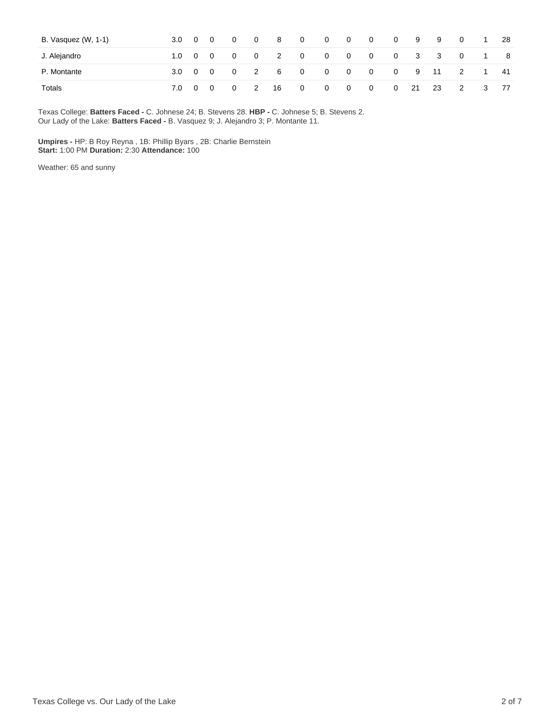| B. Vasquez (W, 1-1) | $3.0 \t 0 \t 0$ |  | $0\qquad 0$                              | $\cdot$ 8 $\cdot$       | $\overline{\mathbf{0}}$ | $\overline{\mathbf{0}}$ | $\begin{array}{ccc} & & 0 & \quad 0 \end{array}$ | $\overline{\mathbf{0}}$ |          | 99  | $\overline{0}$ | $1 \cdot$ | -28  |
|---------------------|-----------------|--|------------------------------------------|-------------------------|-------------------------|-------------------------|--------------------------------------------------|-------------------------|----------|-----|----------------|-----------|------|
| J. Alejandro        |                 |  |                                          |                         |                         |                         |                                                  |                         |          |     | 0 3 3 0 1      |           | - 8  |
| P. Montante         |                 |  |                                          | 3.0 0 0 0 2 6 0 0 0 0 0 |                         |                         |                                                  |                         |          |     | 0 9 11 2 1     |           | - 41 |
| Totals              | 7.0 0 0         |  | $\begin{array}{ccc} & 0 & 2 \end{array}$ | 16                      | $\overline{0}$          |                         | $0\qquad 0\qquad 0$                              |                         | $0 \t21$ | -23 | $\overline{2}$ | - 3       | -77  |

Texas College: **Batters Faced -** C. Johnese 24; B. Stevens 28. **HBP -** C. Johnese 5; B. Stevens 2. Our Lady of the Lake: **Batters Faced -** B. Vasquez 9; J. Alejandro 3; P. Montante 11.

**Umpires -** HP: B Roy Reyna , 1B: Phillip Byars , 2B: Charlie Bernstein **Start:** 1:00 PM **Duration:** 2:30 **Attendance:** 100

Weather: 65 and sunny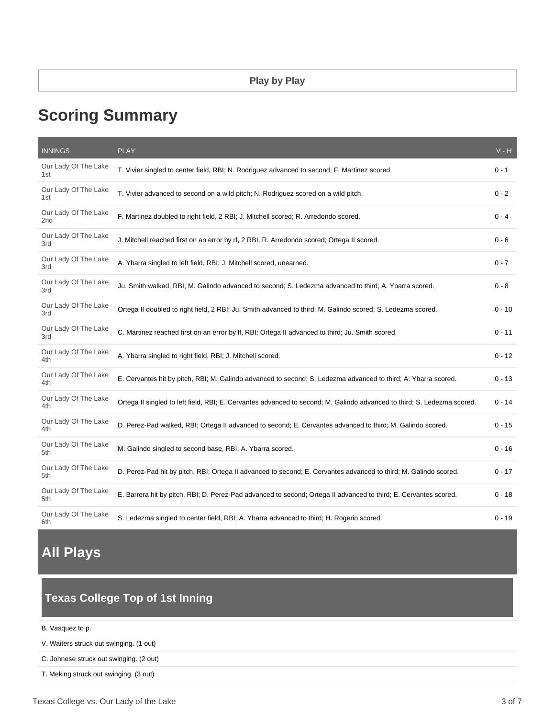# **Scoring Summary**

| <b>INNINGS</b>              | <b>PLAY</b>                                                                                                             | $V - H$  |
|-----------------------------|-------------------------------------------------------------------------------------------------------------------------|----------|
| Our Lady Of The Lake<br>1st | T. Vivier singled to center field, RBI; N. Rodriguez advanced to second; F. Martinez scored.                            | $0 - 1$  |
| Our Lady Of The Lake<br>1st | T. Vivier advanced to second on a wild pitch; N. Rodriguez scored on a wild pitch.                                      | $0 - 2$  |
| Our Lady Of The Lake<br>2nd | F. Martinez doubled to right field, 2 RBI; J. Mitchell scored; R. Arredondo scored.                                     | $0 - 4$  |
| Our Lady Of The Lake<br>3rd | J. Mitchell reached first on an error by rf, 2 RBI; R. Arredondo scored; Ortega II scored.                              | $0 - 6$  |
| Our Lady Of The Lake<br>3rd | A. Ybarra singled to left field, RBI; J. Mitchell scored, unearned.                                                     | $0 - 7$  |
| Our Lady Of The Lake<br>3rd | Ju. Smith walked, RBI; M. Galindo advanced to second; S. Ledezma advanced to third; A. Ybarra scored.                   | $0 - 8$  |
| Our Lady Of The Lake<br>3rd | Ortega II doubled to right field, 2 RBI; Ju. Smith advanced to third; M. Galindo scored; S. Ledezma scored.             | $0 - 10$ |
| Our Lady Of The Lake<br>3rd | C. Martinez reached first on an error by If, RBI; Ortega II advanced to third; Ju. Smith scored.                        | $0 - 11$ |
| Our Lady Of The Lake<br>4th | A. Ybarra singled to right field, RBI; J. Mitchell scored.                                                              | $0 - 12$ |
| Our Lady Of The Lake<br>4th | E. Cervantes hit by pitch, RBI; M. Galindo advanced to second; S. Ledezma advanced to third; A. Ybarra scored.          | $0 - 13$ |
| Our Lady Of The Lake<br>4th | Ortega II singled to left field, RBI; E. Cervantes advanced to second; M. Galindo advanced to third; S. Ledezma scored. | $0 - 14$ |
| Our Lady Of The Lake<br>4th | D. Perez-Pad walked, RBI; Ortega II advanced to second; E. Cervantes advanced to third; M. Galindo scored.              | $0 - 15$ |
| Our Lady Of The Lake<br>5th | M. Galindo singled to second base, RBI; A. Ybarra scored.                                                               | $0 - 16$ |
| Our Lady Of The Lake<br>5th | D. Perez-Pad hit by pitch, RBI; Ortega II advanced to second; E. Cervantes advanced to third; M. Galindo scored.        | $0 - 17$ |
| Our Lady Of The Lake<br>5th | E. Barrera hit by pitch, RBI; D. Perez-Pad advanced to second; Ortega II advanced to third; E. Cervantes scored.        | $0 - 18$ |
| Our Lady Of The Lake<br>6th | S. Ledezma singled to center field, RBI; A. Ybarra advanced to third; H. Rogerio scored.                                | $0 - 19$ |

## **All Plays**

### **Texas College Top of 1st Inning**

| B. Vasquez to p. |  |  |
|------------------|--|--|
|------------------|--|--|

V. Waiters struck out swinging. (1 out)

C. Johnese struck out swinging. (2 out)

T. Meking struck out swinging. (3 out)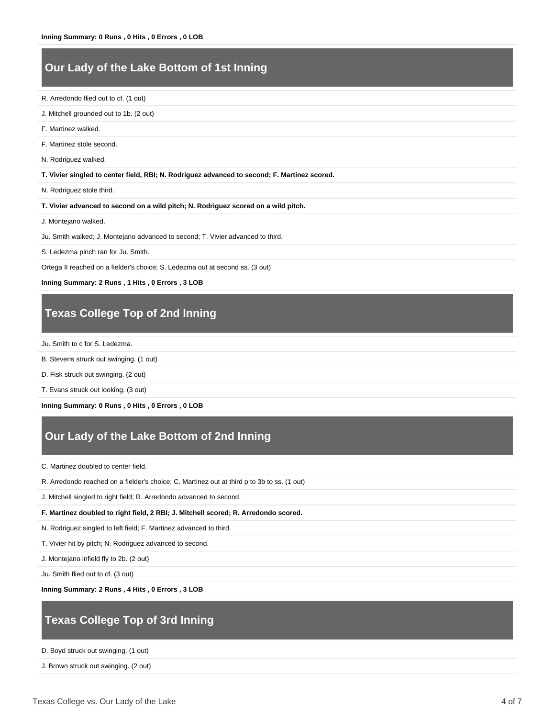### **Our Lady of the Lake Bottom of 1st Inning**

R. Arredondo flied out to cf. (1 out)

- J. Mitchell grounded out to 1b. (2 out)
- F. Martinez walked.

F. Martinez stole second.

N. Rodriguez walked.

**T. Vivier singled to center field, RBI; N. Rodriguez advanced to second; F. Martinez scored.**

N. Rodriguez stole third.

**T. Vivier advanced to second on a wild pitch; N. Rodriguez scored on a wild pitch.**

J. Montejano walked.

Ju. Smith walked; J. Montejano advanced to second; T. Vivier advanced to third.

S. Ledezma pinch ran for Ju. Smith.

Ortega II reached on a fielder's choice; S. Ledezma out at second ss. (3 out)

**Inning Summary: 2 Runs , 1 Hits , 0 Errors , 3 LOB**

### **Texas College Top of 2nd Inning**

Ju. Smith to c for S. Ledezma.

- B. Stevens struck out swinging. (1 out)
- D. Fisk struck out swinging. (2 out)

T. Evans struck out looking. (3 out)

**Inning Summary: 0 Runs , 0 Hits , 0 Errors , 0 LOB**

### **Our Lady of the Lake Bottom of 2nd Inning**

C. Martinez doubled to center field.

R. Arredondo reached on a fielder's choice; C. Martinez out at third p to 3b to ss. (1 out)

J. Mitchell singled to right field; R. Arredondo advanced to second.

#### **F. Martinez doubled to right field, 2 RBI; J. Mitchell scored; R. Arredondo scored.**

N. Rodriguez singled to left field; F. Martinez advanced to third.

T. Vivier hit by pitch; N. Rodriguez advanced to second.

J. Montejano infield fly to 2b. (2 out)

Ju. Smith flied out to cf. (3 out)

**Inning Summary: 2 Runs , 4 Hits , 0 Errors , 3 LOB**

### **Texas College Top of 3rd Inning**

D. Boyd struck out swinging. (1 out)

J. Brown struck out swinging. (2 out)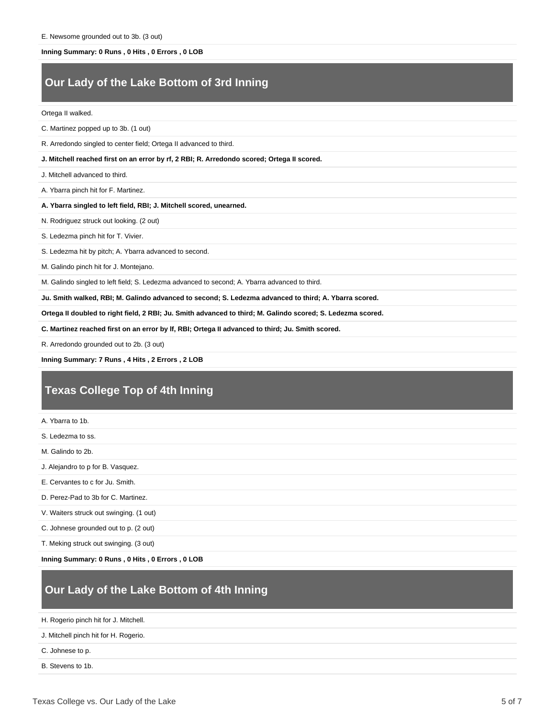#### **Inning Summary: 0 Runs , 0 Hits , 0 Errors , 0 LOB**

### **Our Lady of the Lake Bottom of 3rd Inning**

#### Ortega II walked.

C. Martinez popped up to 3b. (1 out)

R. Arredondo singled to center field; Ortega II advanced to third.

#### **J. Mitchell reached first on an error by rf, 2 RBI; R. Arredondo scored; Ortega II scored.**

J. Mitchell advanced to third.

A. Ybarra pinch hit for F. Martinez.

#### **A. Ybarra singled to left field, RBI; J. Mitchell scored, unearned.**

N. Rodriguez struck out looking. (2 out)

S. Ledezma pinch hit for T. Vivier.

S. Ledezma hit by pitch; A. Ybarra advanced to second.

M. Galindo pinch hit for J. Montejano.

M. Galindo singled to left field; S. Ledezma advanced to second; A. Ybarra advanced to third.

**Ju. Smith walked, RBI; M. Galindo advanced to second; S. Ledezma advanced to third; A. Ybarra scored.**

**Ortega II doubled to right field, 2 RBI; Ju. Smith advanced to third; M. Galindo scored; S. Ledezma scored.**

**C. Martinez reached first on an error by lf, RBI; Ortega II advanced to third; Ju. Smith scored.**

R. Arredondo grounded out to 2b. (3 out)

**Inning Summary: 7 Runs , 4 Hits , 2 Errors , 2 LOB**

### **Texas College Top of 4th Inning**

A. Ybarra to 1b.

S. Ledezma to ss.

M. Galindo to 2b.

J. Alejandro to p for B. Vasquez.

E. Cervantes to c for Ju. Smith.

D. Perez-Pad to 3b for C. Martinez.

V. Waiters struck out swinging. (1 out)

C. Johnese grounded out to p. (2 out)

T. Meking struck out swinging. (3 out)

**Inning Summary: 0 Runs , 0 Hits , 0 Errors , 0 LOB**

### **Our Lady of the Lake Bottom of 4th Inning**

H. Rogerio pinch hit for J. Mitchell.

J. Mitchell pinch hit for H. Rogerio.

C. Johnese to p.

B. Stevens to 1b.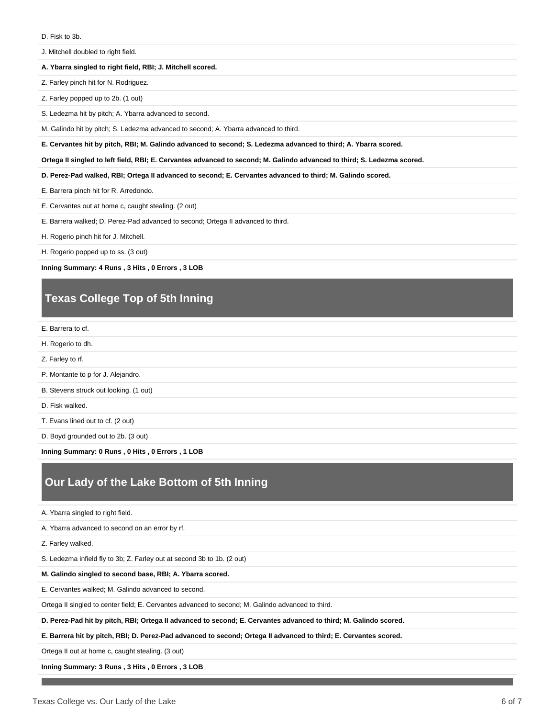J. Mitchell doubled to right field.

#### **A. Ybarra singled to right field, RBI; J. Mitchell scored.**

Z. Farley pinch hit for N. Rodriguez.

Z. Farley popped up to 2b. (1 out)

S. Ledezma hit by pitch; A. Ybarra advanced to second.

M. Galindo hit by pitch; S. Ledezma advanced to second; A. Ybarra advanced to third.

**E. Cervantes hit by pitch, RBI; M. Galindo advanced to second; S. Ledezma advanced to third; A. Ybarra scored.**

**Ortega II singled to left field, RBI; E. Cervantes advanced to second; M. Galindo advanced to third; S. Ledezma scored.**

**D. Perez-Pad walked, RBI; Ortega II advanced to second; E. Cervantes advanced to third; M. Galindo scored.**

E. Barrera pinch hit for R. Arredondo.

E. Cervantes out at home c, caught stealing. (2 out)

E. Barrera walked; D. Perez-Pad advanced to second; Ortega II advanced to third.

H. Rogerio pinch hit for J. Mitchell.

H. Rogerio popped up to ss. (3 out)

**Inning Summary: 4 Runs , 3 Hits , 0 Errors , 3 LOB**

### **Texas College Top of 5th Inning**

E. Barrera to cf.

- H. Rogerio to dh.
- Z. Farley to rf.
- P. Montante to p for J. Alejandro.

B. Stevens struck out looking. (1 out)

D. Fisk walked.

T. Evans lined out to cf. (2 out)

D. Boyd grounded out to 2b. (3 out)

**Inning Summary: 0 Runs , 0 Hits , 0 Errors , 1 LOB**

### **Our Lady of the Lake Bottom of 5th Inning**

A. Ybarra singled to right field.

A. Ybarra advanced to second on an error by rf.

Z. Farley walked.

S. Ledezma infield fly to 3b; Z. Farley out at second 3b to 1b. (2 out)

**M. Galindo singled to second base, RBI; A. Ybarra scored.**

E. Cervantes walked; M. Galindo advanced to second.

Ortega II singled to center field; E. Cervantes advanced to second; M. Galindo advanced to third.

**D. Perez-Pad hit by pitch, RBI; Ortega II advanced to second; E. Cervantes advanced to third; M. Galindo scored.**

**E. Barrera hit by pitch, RBI; D. Perez-Pad advanced to second; Ortega II advanced to third; E. Cervantes scored.**

Ortega II out at home c, caught stealing. (3 out)

**Inning Summary: 3 Runs , 3 Hits , 0 Errors , 3 LOB**